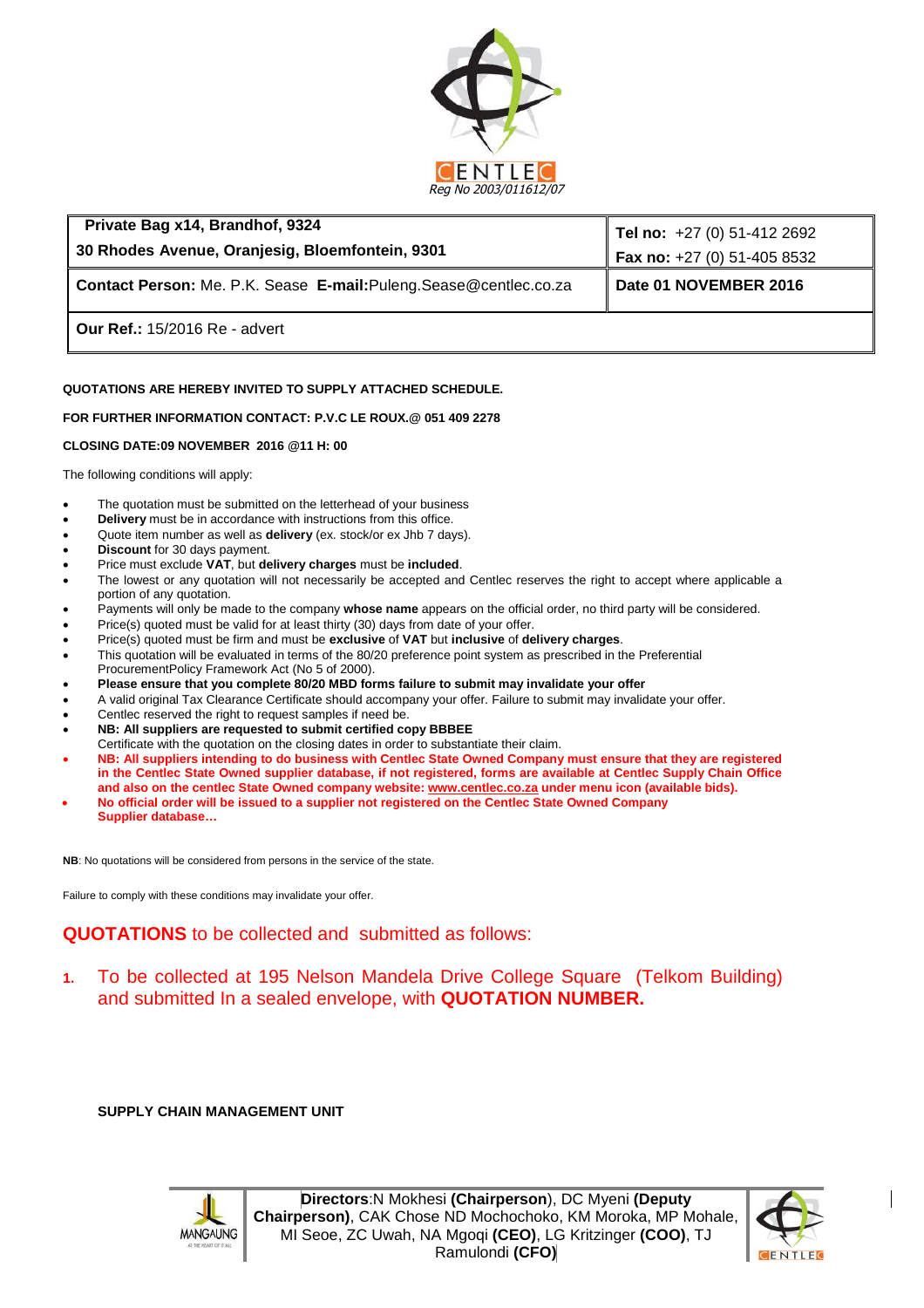

| Private Bag x14, Brandhof, 9324                                    | Tel no: +27 (0) 51-412 2692 |
|--------------------------------------------------------------------|-----------------------------|
| 30 Rhodes Avenue, Oranjesig, Bloemfontein, 9301                    | Fax no: +27 (0) 51-405 8532 |
| Contact Person: Me. P.K. Sease E-mail: Puleng. Sease@centlec.co.za | Date 01 NOVEMBER 2016       |
| <b>Our Ref.: 15/2016 Re - advert</b>                               |                             |

### **QUOTATIONS ARE HEREBY INVITED TO SUPPLY ATTACHED SCHEDULE.**

#### **FOR FURTHER INFORMATION CONTACT: P.V.C LE ROUX.@ 051 409 2278**

#### **CLOSING DATE:09 NOVEMBER 2016 @11 H: 00**

The following conditions will apply:

- The quotation must be submitted on the letterhead of your business
- **Delivery** must be in accordance with instructions from this office.
- Quote item number as well as **delivery** (ex. stock/or ex Jhb 7 days).
- **Discount** for 30 days payment.
- Price must exclude **VAT**, but **delivery charges** must be **included**.
- The lowest or any quotation will not necessarily be accepted and Centlec reserves the right to accept where applicable a portion of any quotation.
- Payments will only be made to the company **whose name** appears on the official order, no third party will be considered.
- Price(s) quoted must be valid for at least thirty (30) days from date of your offer.
- Price(s) quoted must be firm and must be **exclusive** of **VAT** but **inclusive** of **delivery charges**.
- This quotation will be evaluated in terms of the 80/20 preference point system as prescribed in the Preferential ProcurementPolicy Framework Act (No 5 of 2000).
- **Please ensure that you complete 80/20 MBD forms failure to submit may invalidate your offer**
- A valid original Tax Clearance Certificate should accompany your offer. Failure to submit may invalidate your offer.
- Centlec reserved the right to request samples if need be.
- **NB: All suppliers are requested to submit certified copy BBBEE**
- Certificate with the quotation on the closing dates in order to substantiate their claim.
- **NB: All suppliers intending to do business with Centlec State Owned Company must ensure that they are registered in the Centlec State Owned supplier database, if not registered, forms are available at Centlec Supply Chain Office and also on the centlec State Owned company website: www.centlec.co.za under menu icon (available bids).**
- **No official order will be issued to a supplier not registered on the Centlec State Owned Company Supplier database…**

**NB**: No quotations will be considered from persons in the service of the state.

Failure to comply with these conditions may invalidate your offer.

# **QUOTATIONS** to be collected and submitted as follows:

**1.** To be collected at 195 Nelson Mandela Drive College Square (Telkom Building) and submitted In a sealed envelope, with **QUOTATION NUMBER.**

**SUPPLY CHAIN MANAGEMENT UNIT**



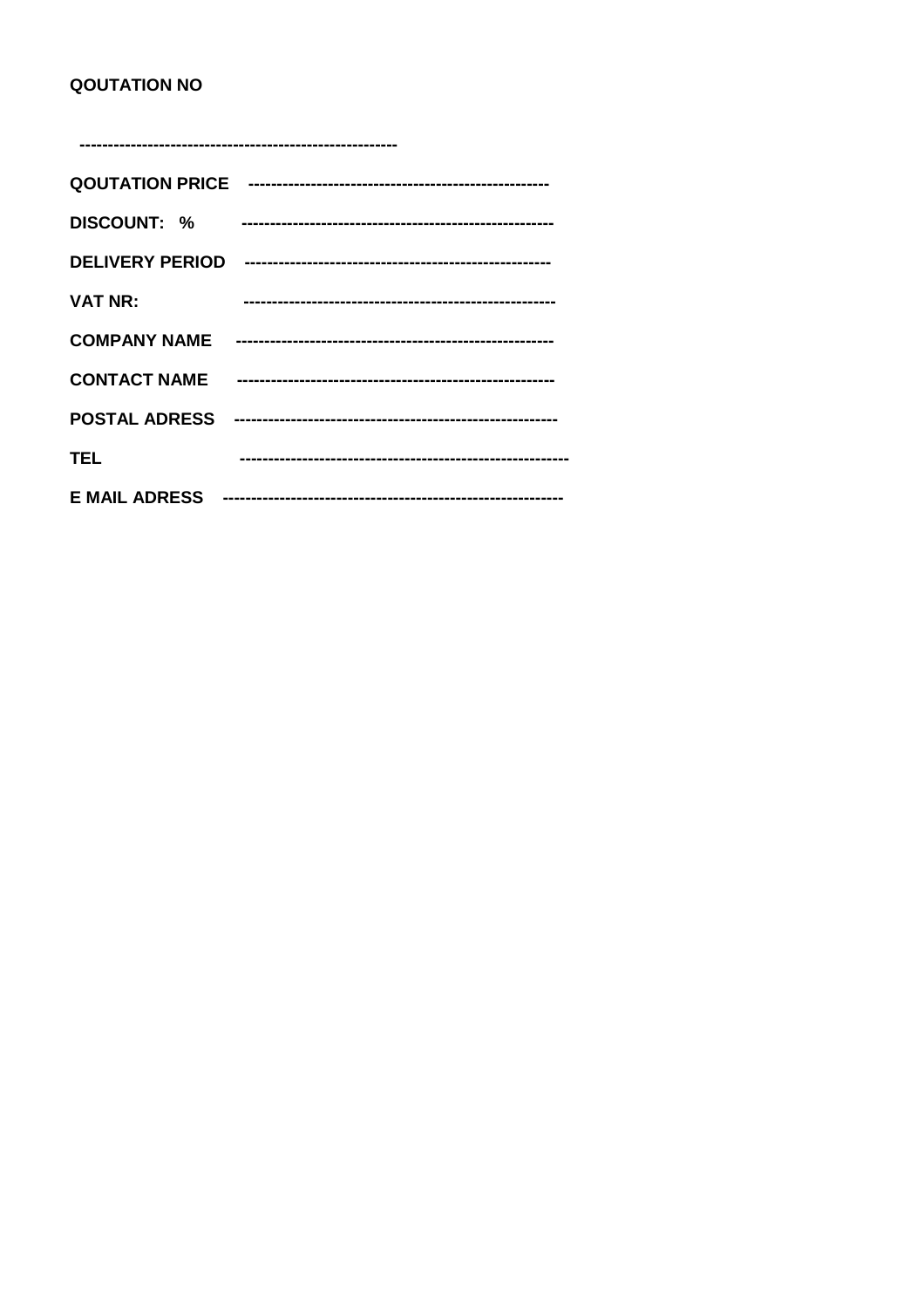## **QOUTATION NO**

---------------------------------------------

| <b>DISCOUNT: %</b>     |  |
|------------------------|--|
| <b>DELIVERY PERIOD</b> |  |
| <b>VAT NR:</b>         |  |
| <b>COMPANY NAME</b>    |  |
| <b>CONTACT NAME</b>    |  |
| <b>POSTAL ADRESS</b>   |  |
| TEL                    |  |
| <b>E MAIL ADRESS</b>   |  |